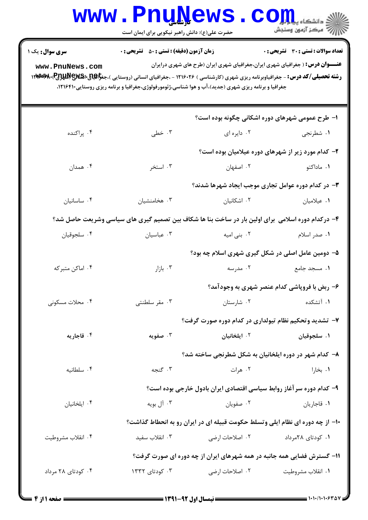|                                                                                                                                                                                                                                                                                                                                                                                                                                                                                           | www.PnuNews.<br>حضرت علی(ع): دانش راهبر نیکویی برای ایمان است                                      |                                                                      | $\text{C}$ OII<br>أأآت مرکز آزمون وسنجش            |  |  |  |
|-------------------------------------------------------------------------------------------------------------------------------------------------------------------------------------------------------------------------------------------------------------------------------------------------------------------------------------------------------------------------------------------------------------------------------------------------------------------------------------------|----------------------------------------------------------------------------------------------------|----------------------------------------------------------------------|----------------------------------------------------|--|--|--|
| <b>زمان آزمون (دقیقه) : تستی : 50 ٪ تشریحی : 0</b><br><b>تعداد سوالات : تستي : 30 ٪ تشريحي : 0</b><br><b>سری سوال :</b> یک ۱<br><b>عنـــوان درس:</b> ( جغرافیای شهری ایران،جغرافیای شهری ایران (طرح های شهری درایران<br>www.PnuNews.com<br><b>رشته تحصیلی/کد درس:</b> - جغرافیاوبرنامه ریزی شهری (کارشناسی ) ۱۲۱۶۰۲۶ - ،جغرافیای انسانی (روستایی )،جغ <b>را@پرRپW</b> ،RپW، ۱۲۱۶۰۳۶<br>جغرافیا و برنامه ریزی شهری (جدید)،آب و هوا شناسی،ژئومورفولوژی،جغرافیا و برنامه ریزی روستایی۲۱۶۴۱۰، |                                                                                                    |                                                                      |                                                    |  |  |  |
|                                                                                                                                                                                                                                                                                                                                                                                                                                                                                           |                                                                                                    | ۱– طرح عمومی شهرهای دوره اشکانی چگونه بوده است؟                      |                                                    |  |  |  |
| ۰۴ پراکنده                                                                                                                                                                                                                                                                                                                                                                                                                                                                                | ۰۳ خطی                                                                                             | ۰۲ دایره ای                                                          | ۱. شطرنجی                                          |  |  |  |
|                                                                                                                                                                                                                                                                                                                                                                                                                                                                                           |                                                                                                    |                                                                      | ۲- کدام مورد زیر از شهرهای دوره عیلامیان بوده است؟ |  |  |  |
| ۰۴ همدان                                                                                                                                                                                                                                                                                                                                                                                                                                                                                  | ۰۳ استخر                                                                                           | ۰۲ اصفهان                                                            | ۰۱ ماداکتو                                         |  |  |  |
|                                                                                                                                                                                                                                                                                                                                                                                                                                                                                           |                                                                                                    | ۳- در کدام دوره عوامل تجاری موجب ایجاد شهرها شدند؟                   |                                                    |  |  |  |
| ۰۴ ساسانيان                                                                                                                                                                                                                                                                                                                                                                                                                                                                               | ۰۳ هخامنشیان                                                                                       | ۰۲ اشکانیان                                                          | ۰۱ عیلامیان                                        |  |  |  |
|                                                                                                                                                                                                                                                                                                                                                                                                                                                                                           | ۴- درکدام دوره اسلامی ًبرای اولین بار در ساخت بنا ها شکاف بین تصمیم گیری های سیاسی وشریعت حاصل شد؟ |                                                                      |                                                    |  |  |  |
| ۰۴ سلجوقيان                                                                                                                                                                                                                                                                                                                                                                                                                                                                               | ۰۳ عباسیان                                                                                         | ۰۲ بنی امیه                                                          | ۰۱ صدر اسلام                                       |  |  |  |
|                                                                                                                                                                                                                                                                                                                                                                                                                                                                                           |                                                                                                    | ۵– دومین عامل اصلی در شکل گیری شهری اسلام چه بود؟                    |                                                    |  |  |  |
| ۰۴ اماکن متبرکه                                                                                                                                                                                                                                                                                                                                                                                                                                                                           | ۰۳ بازار                                                                                           | ۰۲ مدرسه                                                             | ۰۱ مسجد جامع                                       |  |  |  |
|                                                                                                                                                                                                                                                                                                                                                                                                                                                                                           |                                                                                                    |                                                                      | ۶- ربض با فروپاشی کدام عنصر شهری به وجودآمد؟       |  |  |  |
| ۰۴ محلات مسکونی                                                                                                                                                                                                                                                                                                                                                                                                                                                                           | ۰۳ مقر سلطنتی                                                                                      | ۰۲ شارستان                                                           | ۰۱ آتشکده                                          |  |  |  |
|                                                                                                                                                                                                                                                                                                                                                                                                                                                                                           |                                                                                                    | ۷- تشدید وتحکیم نظام تیولداری در کدام دوره صورت گرفت؟                |                                                    |  |  |  |
| ۰۴ قاجاریه                                                                                                                                                                                                                                                                                                                                                                                                                                                                                | ۰۳ صفویه                                                                                           | ۰۲ ایلخانیان                                                         | ۰۱ سلجوقیان                                        |  |  |  |
|                                                                                                                                                                                                                                                                                                                                                                                                                                                                                           |                                                                                                    | ۸– کدام شهر در دوره ایلخانیان به شکل شطرنجی ساخته شد؟                |                                                    |  |  |  |
| ۰۴ سلطانيه                                                                                                                                                                                                                                                                                                                                                                                                                                                                                | ۰۳ گنجه                                                                                            | ۰۲ هرات                                                              | ۰۱ بخارا                                           |  |  |  |
|                                                                                                                                                                                                                                                                                                                                                                                                                                                                                           |                                                                                                    | ۹– کدام دوره سر آغاز روابط سیاسی اقتصادی ایران بادول خارجی بوده است؟ |                                                    |  |  |  |
| ۰۴ ایلخانیان                                                                                                                                                                                                                                                                                                                                                                                                                                                                              | ۰۳ آل بويه                                                                                         | ۰۲ صفویان                                                            | ٠١ قاجاريان                                        |  |  |  |
|                                                                                                                                                                                                                                                                                                                                                                                                                                                                                           | ۱۰- از چه دوره ای نظام ایلی وتسلط حکومت قبیله ای در ایران رو به انحطاط گذاشت؟                      |                                                                      |                                                    |  |  |  |
| ۰۴ انقلاب مشروطيت                                                                                                                                                                                                                                                                                                                                                                                                                                                                         | ۰۳ انقلاب سفید                                                                                     | ۲. اصلاحات ارضی                                                      | ٠١. كودتاى ٢٨مرداد                                 |  |  |  |
| ۱۱- گسترش فضایی همه جانبه در همه شهرهای ایران از چه دوره ای صورت گرفت؟                                                                                                                                                                                                                                                                                                                                                                                                                    |                                                                                                    |                                                                      |                                                    |  |  |  |
| ۰۴ کودتای ۲۸ مرداد                                                                                                                                                                                                                                                                                                                                                                                                                                                                        | ۰۳ کودتای ۱۳۳۲                                                                                     | ۰۲ اصلاحات ارضی                                                      | ۰۱ انقلاب مشروطيت                                  |  |  |  |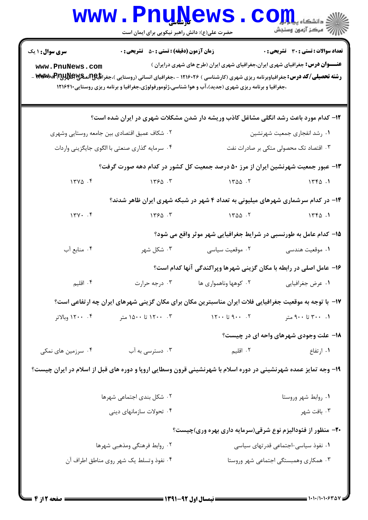|                                              | www.PnuNews<br>حضرت علی(ع): دانش راهبر نیکویی برای ایمان است                                            |                                                                                                                                                                                                                                                                                                                                                                            | $\left\  \bigodot \prod_{j=1}^n \prod_{\substack{m \equiv 1 \\ m \equiv 1 \pmod{2}}} \min_{\substack{m \equiv 1 \\ m \equiv 1 \pmod{2}}} \min_{\substack{m \equiv 1 \\ m \equiv 1 \pmod{2}}}$ |  |  |
|----------------------------------------------|---------------------------------------------------------------------------------------------------------|----------------------------------------------------------------------------------------------------------------------------------------------------------------------------------------------------------------------------------------------------------------------------------------------------------------------------------------------------------------------------|-----------------------------------------------------------------------------------------------------------------------------------------------------------------------------------------------|--|--|
| <b>سری سوال : ۱ یک</b>                       | <b>زمان آزمون (دقیقه) : تستی : 50 ٪ تشریحی : 0</b>                                                      |                                                                                                                                                                                                                                                                                                                                                                            | <b>تعداد سوالات : تستی : 30 ٪ تشریحی : 0</b>                                                                                                                                                  |  |  |
| www.PnuNews.com                              |                                                                                                         | <b>عنـــوان درس:</b> جغرافیای شهری ایران،جغرافیای شهری ایران (طرح های شهری درایران )<br><b>رشته تحصیلی/کد درس:</b> جغرافیاوبرنامه ریزی شهری (کارشناسی ) ۱۲۱۶۰۲۶ - ،جغرافیای انسانی (روستایی )،جغرا <b>فلیپاتلپاتلپاتلپاتلپاتلپاتاب کود اس</b> لام <b>-۱۳۹۶</b> ۰۰ -<br>،جغرافیا و برنامه ریزی شهری (جدید)،آب و هوا شناسی،ژئومورفولوژی،جغرافیا و برنامه ریزی روستایی۱۲۱۶۴۱۰ |                                                                                                                                                                                               |  |  |
|                                              |                                                                                                         | ۱۲- کدام مورد باعث رشد انگلی مشاغل کاذب وریشه دار شدن مشکلات شهری در ایران شده است؟                                                                                                                                                                                                                                                                                        |                                                                                                                                                                                               |  |  |
| ۰۲ شکاف عمیق اقتصادی بین جامعه روستایی وشهری |                                                                                                         | ٠١ رشد انفجاري جمعيت شهرنشين                                                                                                                                                                                                                                                                                                                                               |                                                                                                                                                                                               |  |  |
|                                              | ۰۴ سرمایه گذاری صنعتی با الگوی جایگزینی واردات                                                          | ۰۳ اقتصاد تک محصولی متکی بر صادرات نفت                                                                                                                                                                                                                                                                                                                                     |                                                                                                                                                                                               |  |  |
|                                              |                                                                                                         | ۱۳- عبور جمعیت شهرنشین ایران از مرز ۵۰ درصد جمعیت کل کشور در کدام دهه صورت گرفت؟                                                                                                                                                                                                                                                                                           |                                                                                                                                                                                               |  |  |
| $17Y\Delta$ .                                | $\gamma$ $\gamma$ $\beta$ $\beta$ $\gamma$ $\gamma$ $\gamma$ $\gamma$ $\gamma$ $\gamma$ $\gamma$        |                                                                                                                                                                                                                                                                                                                                                                            | 1770.1                                                                                                                                                                                        |  |  |
|                                              |                                                                                                         | ۱۴- در کدام سرشماری شهرهای میلیونی به تعداد ۴ شهر در شبکه شهری ایران ظاهر شدند؟                                                                                                                                                                                                                                                                                            |                                                                                                                                                                                               |  |  |
| 144.7                                        | 1550.5                                                                                                  | $1400 - 1$                                                                                                                                                                                                                                                                                                                                                                 | 156.1                                                                                                                                                                                         |  |  |
|                                              |                                                                                                         | ۱۵– کدام عامل به طورنسبی در شرایط جغرافیایی شهر موثر واقع می شود؟                                                                                                                                                                                                                                                                                                          |                                                                                                                                                                                               |  |  |
| ۰۴ منابع آب                                  | ۰۳ شکل شهر                                                                                              | ۰۲ موقعیت سیاسی                                                                                                                                                                                                                                                                                                                                                            | ١. موقعيت هندسي                                                                                                                                                                               |  |  |
|                                              |                                                                                                         | ۱۶- عامل اصلی در رابطه با مکان گزینی شهرها وپراکندگی آنها کدام است؟                                                                                                                                                                                                                                                                                                        |                                                                                                                                                                                               |  |  |
| ۰۴ اقلیم                                     | ۰۳ درجه حرارت                                                                                           | ۰۲ کوهها وناهمواری ها                                                                                                                                                                                                                                                                                                                                                      | ۰۱ عرض جغرافیایی                                                                                                                                                                              |  |  |
|                                              | ۱۷−  با توجه به موقعیت جغرافیایی فلات ایران مناسبترین مکان برای مکان گزینی شهرهای ایران چه ارتفاعی است؟ |                                                                                                                                                                                                                                                                                                                                                                            |                                                                                                                                                                                               |  |  |
| ۰۴ ۱۲۰۰ وبالاتر                              | ۰۳ - ۱۲۰۰ تا ۱۵۰۰ متر                                                                                   | $Y \cdot \cdot 59 \cdot \cdot 7$                                                                                                                                                                                                                                                                                                                                           | ۰. ۳۰۰ تا ۹۰۰ متر                                                                                                                                                                             |  |  |
|                                              |                                                                                                         |                                                                                                                                                                                                                                                                                                                                                                            | ۱۸- علت وجودی شهرهای واحه ای در چیست؟                                                                                                                                                         |  |  |
| ۰۴ سرزمین های نمکی                           | ۰۳ دسترسی به آب                                                                                         | ۰۲ اقلیم                                                                                                                                                                                                                                                                                                                                                                   | ۰۱ ارتفاع                                                                                                                                                                                     |  |  |
|                                              |                                                                                                         | ۱۹- وجه تمایز عمده شهرنشینی در دوره اسلام با شهرنشینی قرون وسطایی اروپا و دوره های قبل از اسلام در ایران چیست؟                                                                                                                                                                                                                                                             |                                                                                                                                                                                               |  |  |
| ۰۲ شکل بندی اجتماعی شهرها                    |                                                                                                         |                                                                                                                                                                                                                                                                                                                                                                            | ٠١. روابط شهر وروستا                                                                                                                                                                          |  |  |
| ۰۴ تحولات سازمانهای دینی                     |                                                                                                         |                                                                                                                                                                                                                                                                                                                                                                            | ۰۳ بافت شهر                                                                                                                                                                                   |  |  |
|                                              |                                                                                                         | ۲۰- منظور از فئودالیزم نوع شرقی(سرمایه داری بهره وری)چیست؟                                                                                                                                                                                                                                                                                                                 |                                                                                                                                                                                               |  |  |
| ۰۲ روابط فرهنگی ومذهبی شهرها                 |                                                                                                         | ۰۱ نفوذ سیاسی-اجتماعی قدرتهای سیاسی                                                                                                                                                                                                                                                                                                                                        |                                                                                                                                                                                               |  |  |
| ۰۴ نفوذ وتسلط یک شهر روی مناطق اطراف آن      |                                                                                                         | ۰۳ همکاری وهمبستگی اجتماعی شهر وروستا                                                                                                                                                                                                                                                                                                                                      |                                                                                                                                                                                               |  |  |
|                                              |                                                                                                         |                                                                                                                                                                                                                                                                                                                                                                            |                                                                                                                                                                                               |  |  |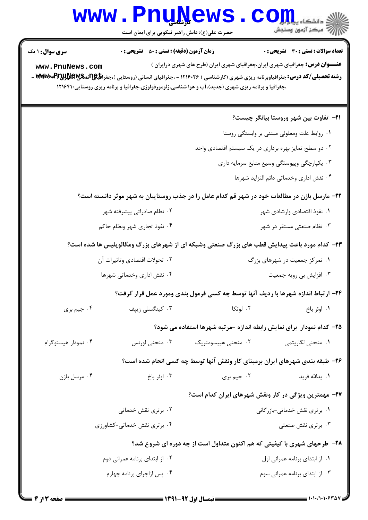## www.Pnu<u>N</u>ews.com

حضرت علي(ع): دانش راهبر نيكويي براي ايمان است

| <b>سری سوال : ۱ یک</b><br>www.PnuNews.com                                                   | <b>زمان آزمون (دقیقه) : تستی : 50 ٪ تشریحی : 0</b>             | ،جغرافیا و برنامه ریزی شهری (جدید)،آب و هوا شناسی،ژئومورفولوژی،جغرافیا و برنامه ریزی روستایی۱۲۱۶۴۱۰ | تعداد سوالات : تستي : 30 ٪ تشريحي : 0<br><b>عنـــوان درس:</b> جغرافیای شهری ایران،جغرافیای شهری ایران (طرح های شهری درایران )<br><b>رشته تحصیلی/کد درس:</b> جغرافیاوبرنامه ریزی شهری (کارشناسی ) ۱۲۱۶۰۲۶ - ،جغرافیای انسانی (روستایی )،جغرا <b>فلیپاتلپاتلپاتلپاتلپ کند (س</b> تایی <b>) م</b> |  |
|---------------------------------------------------------------------------------------------|----------------------------------------------------------------|-----------------------------------------------------------------------------------------------------|------------------------------------------------------------------------------------------------------------------------------------------------------------------------------------------------------------------------------------------------------------------------------------------------|--|
|                                                                                             |                                                                |                                                                                                     | <b>٢١</b> - تفاوت بين شهر وروستا بيانگر چيست؟                                                                                                                                                                                                                                                  |  |
| ۰۱ روابط علت ومعلولی مبتنی بر وابستگی روستا                                                 |                                                                |                                                                                                     |                                                                                                                                                                                                                                                                                                |  |
| ۰۲ دو سطح تمایز بهره برداری در یک سیستم اقتصادی واحد                                        |                                                                |                                                                                                     |                                                                                                                                                                                                                                                                                                |  |
| ۰۳ یکپارچگی وپیوستگی وسیع منابع سرمایه داری                                                 |                                                                |                                                                                                     |                                                                                                                                                                                                                                                                                                |  |
| ۰۴ نقش اداري وخدماتي دائم التزايد شهرها                                                     |                                                                |                                                                                                     |                                                                                                                                                                                                                                                                                                |  |
|                                                                                             |                                                                |                                                                                                     | ۲۲- مارسل بازن در مطالعات خود در شهر قم کدام عامل را در جذب روستاییان به شهر موثر دانسته است؟                                                                                                                                                                                                  |  |
|                                                                                             | ۰۲ نظام صادراتی پیشرفته شهر                                    | ۰۱ نفوذ اقتصادی وارشادی شهر                                                                         |                                                                                                                                                                                                                                                                                                |  |
| ۰۴ نفوذ تجارى شهر ونظام حاكم                                                                |                                                                | ۰۳ نظام صنعتی مستقر در شهر                                                                          |                                                                                                                                                                                                                                                                                                |  |
| ۲۳- کدام مورد باعث پیدایش قطب های بزرگ صنعتی وشبکه ای از شهرهای بزرگ ومگالوپلیس ها شده است؟ |                                                                |                                                                                                     |                                                                                                                                                                                                                                                                                                |  |
|                                                                                             | ۰۲ تحولات اقتصادی وتاثیرات آن<br>۰۱ تمرکز جمعیت در شهرهای بزرگ |                                                                                                     |                                                                                                                                                                                                                                                                                                |  |
|                                                                                             | ۰۴ نقش اداری وخدماتی شهرها                                     |                                                                                                     | ۰۳ افزایش بی رویه جمعیت                                                                                                                                                                                                                                                                        |  |
| ۲۴- ارتباط اندازه شهرها با ردیف آنها توسط چه کسی فرمول بندی ومورد عمل قرار گرفت؟            |                                                                |                                                                                                     |                                                                                                                                                                                                                                                                                                |  |
| ۰۴ جيم بري                                                                                  | ۰۳ کینگسلی زیپف                                                | ۰۲ لوتکا                                                                                            | ٠١. اوئر باخ                                                                                                                                                                                                                                                                                   |  |
|                                                                                             |                                                                |                                                                                                     | ۲۵– کدام نمودار ۖ برای نمایش رابطه اندازه -مرتبه شهرها استفاده می شود؟                                                                                                                                                                                                                         |  |
| ۰۴ نمودار هیستوگرام                                                                         | ۰۳ منحنی لورنس                                                 | ۰۲ منحنی هیپسومتریک                                                                                 | ٠١. منحني لگاريتمي                                                                                                                                                                                                                                                                             |  |
|                                                                                             |                                                                |                                                                                                     | ۲۶- طبقه بندی شهرهای ایران برمبنای کار ونقش آنها توسط چه کسی انجام شده است؟                                                                                                                                                                                                                    |  |
| ۰۴ مرسل بازن                                                                                | ۰۳ اوئر باخ                                                    | ۰۲ جیم بری                                                                                          | ۰۱ يدالله فريد                                                                                                                                                                                                                                                                                 |  |
|                                                                                             |                                                                |                                                                                                     | <b>۲۷</b> - مهمترین ویژگی در کار ونقش شهرهای ایران کدام است؟                                                                                                                                                                                                                                   |  |
| ۰۲ برتری نقش خدماتی                                                                         |                                                                | ۰۱ برتری نقش خدماتی-بازرگانی                                                                        |                                                                                                                                                                                                                                                                                                |  |
| ۰۴ برتری نقش خدماتی-کشاورزی                                                                 |                                                                | ۰۳ برتری نقش صنعتی                                                                                  |                                                                                                                                                                                                                                                                                                |  |
| <b>۲۸</b> - طرحهای شهری با کیفیتی که هم اکنون متداول است از چه دوره ای شروع شد؟             |                                                                |                                                                                                     |                                                                                                                                                                                                                                                                                                |  |
| ۰۲ از ابتدای برنامه عمرانی دوم                                                              |                                                                | ٠١. از ابتداى برنامه عمرانى اول                                                                     |                                                                                                                                                                                                                                                                                                |  |
| ۰۴ پس ازاجرای برنامه چهارم                                                                  |                                                                |                                                                                                     | ۰۳ از ابتدای برنامه عمرانی سوم                                                                                                                                                                                                                                                                 |  |
|                                                                                             |                                                                |                                                                                                     |                                                                                                                                                                                                                                                                                                |  |